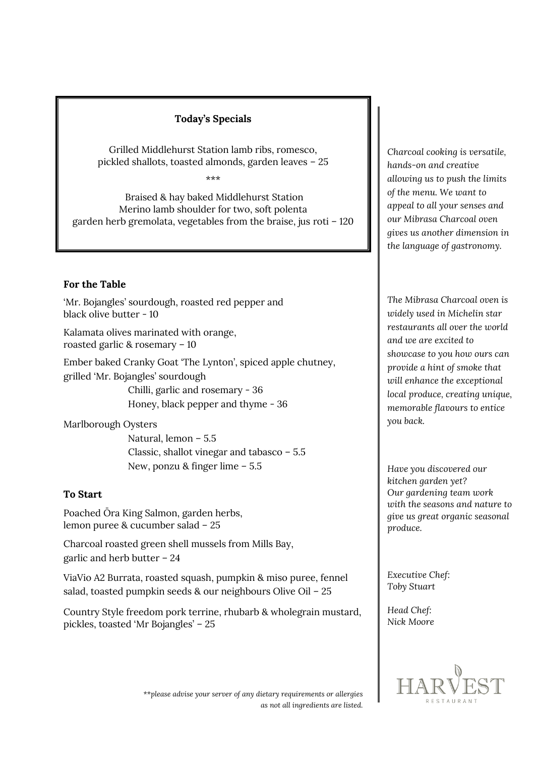## **Today's Specials**

Grilled Middlehurst Station lamb ribs, romesco, pickled shallots, toasted almonds, garden leaves – 25

\*\*\*

Braised & hay baked Middlehurst Station Merino lamb shoulder for two, soft polenta garden herb gremolata, vegetables from the braise, jus roti – 120

## **For the Table**

'Mr. Bojangles' sourdough, roasted red pepper and black olive butter - 10

Kalamata olives marinated with orange, roasted garlic & rosemary – 10

Ember baked Cranky Goat 'The Lynton', spiced apple chutney, grilled 'Mr. Bojangles' sourdough Chilli, garlic and rosemary - 36

Honey, black pepper and thyme - 36

Marlborough Oysters

 Natural, lemon – 5.5 Classic, shallot vinegar and tabasco – 5.5 New, ponzu & finger lime – 5.5

# **To Start**

Poached Ōra King Salmon, garden herbs, lemon puree & cucumber salad – 25

Charcoal roasted green shell mussels from Mills Bay, garlic and herb butter – 24

ViaVio A2 Burrata, roasted squash, pumpkin & miso puree, fennel salad, toasted pumpkin seeds & our neighbours Olive Oil – 25

Country Style freedom pork terrine, rhubarb & wholegrain mustard, pickles, toasted 'Mr Bojangles' – 25

*Charcoal cooking is versatile, hands-on and creative allowing us to push the limits of the menu. We want to appeal to all your senses and our Mibrasa Charcoal oven gives us another dimension in the language of gastronomy.* 

*The Mibrasa Charcoal oven is widely used in Michelin star restaurants all over the world and we are excited to showcase to you how ours can provide a hint of smoke that will enhance the exceptional local produce, creating unique, memorable flavours to entice you back.*

*Have you discovered our kitchen garden yet? Our gardening team work with the seasons and nature to give us great organic seasonal produce.* 

*Executive Chef: Toby Stuart* 

*Head Chef: Nick Moore*



 *\*\*please advise your server of any dietary requirements or allergies as not all ingredients are listed.*